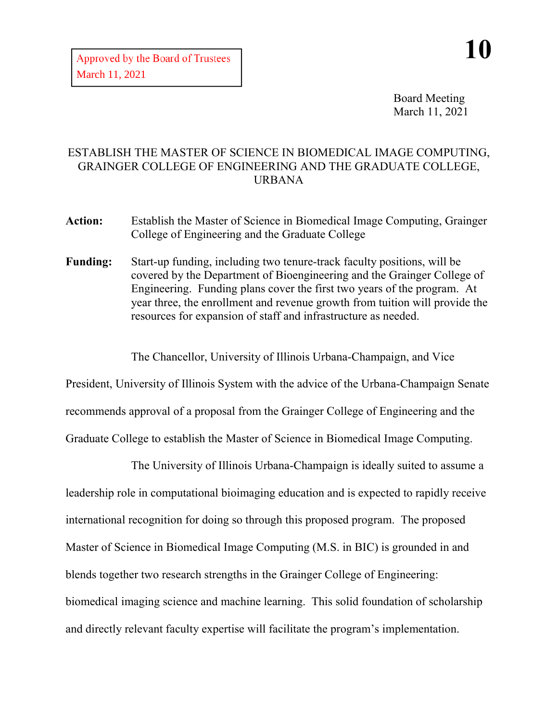Board Meeting March 11, 2021

## ESTABLISH THE MASTER OF SCIENCE IN BIOMEDICAL IMAGE COMPUTING, GRAINGER COLLEGE OF ENGINEERING AND THE GRADUATE COLLEGE, URBANA

- **Action:** Establish the Master of Science in Biomedical Image Computing, Grainger College of Engineering and the Graduate College
- **Funding:** Start-up funding, including two tenure-track faculty positions, will be covered by the Department of Bioengineering and the Grainger College of Engineering. Funding plans cover the first two years of the program. At year three, the enrollment and revenue growth from tuition will provide the resources for expansion of staff and infrastructure as needed.

The Chancellor, University of Illinois Urbana-Champaign, and Vice

President, University of Illinois System with the advice of the Urbana-Champaign Senate recommends approval of a proposal from the Grainger College of Engineering and the Graduate College to establish the Master of Science in Biomedical Image Computing.

The University of Illinois Urbana-Champaign is ideally suited to assume a leadership role in computational bioimaging education and is expected to rapidly receive international recognition for doing so through this proposed program. The proposed Master of Science in Biomedical Image Computing (M.S. in BIC) is grounded in and blends together two research strengths in the Grainger College of Engineering: biomedical imaging science and machine learning. This solid foundation of scholarship and directly relevant faculty expertise will facilitate the program's implementation.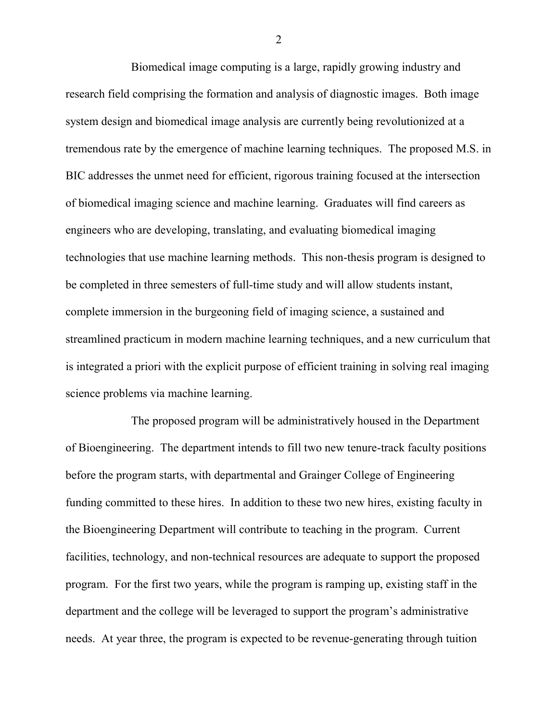Biomedical image computing is a large, rapidly growing industry and research field comprising the formation and analysis of diagnostic images. Both image system design and biomedical image analysis are currently being revolutionized at a tremendous rate by the emergence of machine learning techniques. The proposed M.S. in BIC addresses the unmet need for efficient, rigorous training focused at the intersection of biomedical imaging science and machine learning. Graduates will find careers as engineers who are developing, translating, and evaluating biomedical imaging technologies that use machine learning methods. This non-thesis program is designed to be completed in three semesters of full-time study and will allow students instant, complete immersion in the burgeoning field of imaging science, a sustained and streamlined practicum in modern machine learning techniques, and a new curriculum that is integrated a priori with the explicit purpose of efficient training in solving real imaging science problems via machine learning.

The proposed program will be administratively housed in the Department of Bioengineering. The department intends to fill two new tenure-track faculty positions before the program starts, with departmental and Grainger College of Engineering funding committed to these hires. In addition to these two new hires, existing faculty in the Bioengineering Department will contribute to teaching in the program. Current facilities, technology, and non-technical resources are adequate to support the proposed program. For the first two years, while the program is ramping up, existing staff in the department and the college will be leveraged to support the program's administrative needs. At year three, the program is expected to be revenue-generating through tuition

2